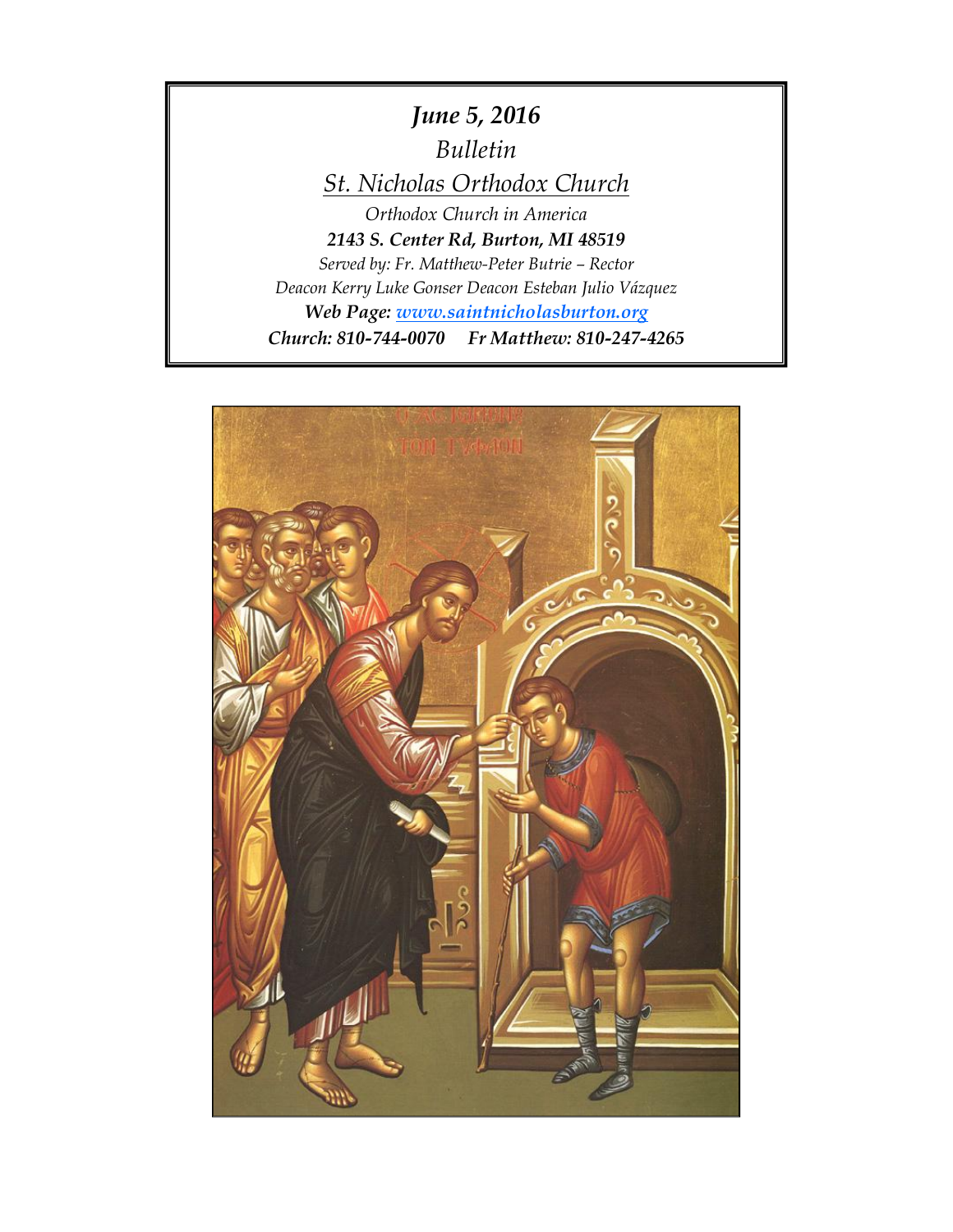

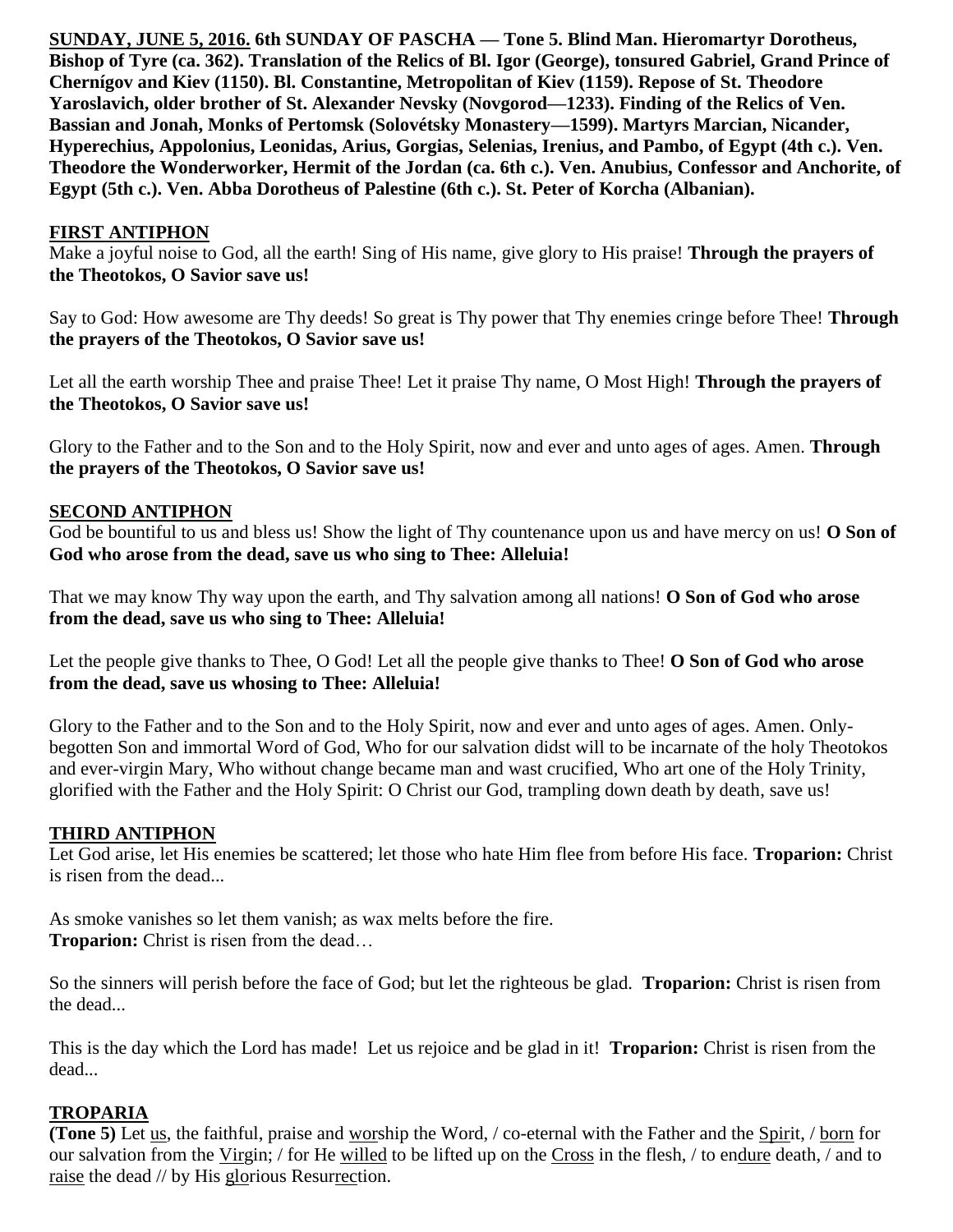**SUNDAY, JUNE 5, 2016. 6th SUNDAY OF PASCHA — Tone 5. Blind Man. Hieromartyr Dorotheus, Bishop of Tyre (ca. 362). Translation of the Relics of Bl. Igor (George), tonsured Gabriel, Grand Prince of Chernígov and Kiev (1150). Bl. Constantine, Metropolitan of Kiev (1159). Repose of St. Theodore Yaroslavich, older brother of St. Alexander Nevsky (Novgorod—1233). Finding of the Relics of Ven. Bassian and Jonah, Monks of Pertomsk (Solovétsky Monastery—1599). Martyrs Marcian, Nicander, Hyperechius, Appolonius, Leonidas, Arius, Gorgias, Selenias, Irenius, and Pambo, of Egypt (4th c.). Ven. Theodore the Wonderworker, Hermit of the Jordan (ca. 6th c.). Ven. Anubius, Confessor and Anchorite, of Egypt (5th c.). Ven. Abba Dorotheus of Palestine (6th c.). St. Peter of Korcha (Albanian).** 

## **FIRST ANTIPHON**

Make a joyful noise to God, all the earth! Sing of His name, give glory to His praise! **Through the prayers of the Theotokos, O Savior save us!**

Say to God: How awesome are Thy deeds! So great is Thy power that Thy enemies cringe before Thee! **Through the prayers of the Theotokos, O Savior save us!**

Let all the earth worship Thee and praise Thee! Let it praise Thy name, O Most High! **Through the prayers of the Theotokos, O Savior save us!**

Glory to the Father and to the Son and to the Holy Spirit, now and ever and unto ages of ages. Amen. **Through the prayers of the Theotokos, O Savior save us!**

## **SECOND ANTIPHON**

God be bountiful to us and bless us! Show the light of Thy countenance upon us and have mercy on us! **O Son of God who arose from the dead, save us who sing to Thee: Alleluia!**

That we may know Thy way upon the earth, and Thy salvation among all nations! **O Son of God who arose from the dead, save us who sing to Thee: Alleluia!**

Let the people give thanks to Thee, O God! Let all the people give thanks to Thee! **O Son of God who arose from the dead, save us whosing to Thee: Alleluia!**

Glory to the Father and to the Son and to the Holy Spirit, now and ever and unto ages of ages. Amen. Onlybegotten Son and immortal Word of God, Who for our salvation didst will to be incarnate of the holy Theotokos and ever-virgin Mary, Who without change became man and wast crucified, Who art one of the Holy Trinity, glorified with the Father and the Holy Spirit: O Christ our God, trampling down death by death, save us!

## **THIRD ANTIPHON**

Let God arise, let His enemies be scattered; let those who hate Him flee from before His face. **Troparion:** Christ is risen from the dead...

As smoke vanishes so let them vanish; as wax melts before the fire. **Troparion:** Christ is risen from the dead...

So the sinners will perish before the face of God; but let the righteous be glad. **Troparion:** Christ is risen from the dead...

This is the day which the Lord has made! Let us rejoice and be glad in it! **Troparion:** Christ is risen from the dead...

## **TROPARIA**

**(Tone 5)** Let us, the faithful, praise and worship the Word, / co-eternal with the Father and the Spirit, / born for our salvation from the Virgin; / for He willed to be lifted up on the Cross in the flesh, / to endure death, / and to raise the dead // by His glorious Resurrection.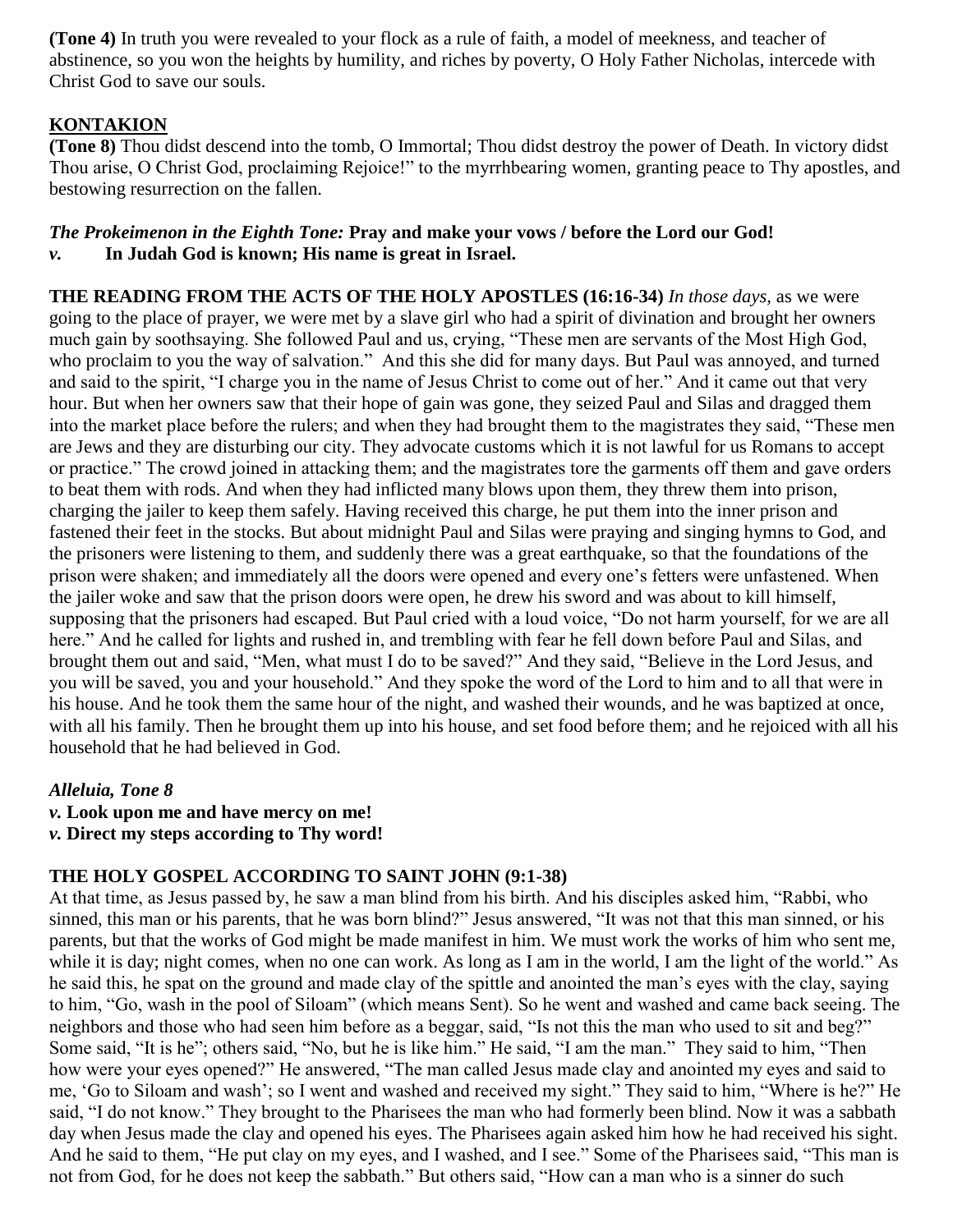**(Tone 4)** In truth you were revealed to your flock as a rule of faith, a model of meekness, and teacher of abstinence, so you won the heights by humility, and riches by poverty, O Holy Father Nicholas, intercede with Christ God to save our souls.

## **KONTAKION**

**(Tone 8)** Thou didst descend into the tomb, O Immortal; Thou didst destroy the power of Death. In victory didst Thou arise, O Christ God, proclaiming Rejoice!" to the myrrhbearing women, granting peace to Thy apostles, and bestowing resurrection on the fallen.

#### *The Prokeimenon in the Eighth Tone:* **Pray and make your vows / before the Lord our God!** *v.* **In Judah God is known; His name is great in Israel.**

**THE READING FROM THE ACTS OF THE HOLY APOSTLES (16:16-34)** *In those days,* as we were going to the place of prayer, we were met by a slave girl who had a spirit of divination and brought her owners much gain by soothsaying. She followed Paul and us, crying, "These men are servants of the Most High God, who proclaim to you the way of salvation." And this she did for many days. But Paul was annoyed, and turned and said to the spirit, "I charge you in the name of Jesus Christ to come out of her." And it came out that very hour. But when her owners saw that their hope of gain was gone, they seized Paul and Silas and dragged them into the market place before the rulers; and when they had brought them to the magistrates they said, "These men are Jews and they are disturbing our city. They advocate customs which it is not lawful for us Romans to accept or practice." The crowd joined in attacking them; and the magistrates tore the garments off them and gave orders to beat them with rods. And when they had inflicted many blows upon them, they threw them into prison, charging the jailer to keep them safely. Having received this charge, he put them into the inner prison and fastened their feet in the stocks. But about midnight Paul and Silas were praying and singing hymns to God, and the prisoners were listening to them, and suddenly there was a great earthquake, so that the foundations of the prison were shaken; and immediately all the doors were opened and every one's fetters were unfastened. When the jailer woke and saw that the prison doors were open, he drew his sword and was about to kill himself, supposing that the prisoners had escaped. But Paul cried with a loud voice, "Do not harm yourself, for we are all here." And he called for lights and rushed in, and trembling with fear he fell down before Paul and Silas, and brought them out and said, "Men, what must I do to be saved?" And they said, "Believe in the Lord Jesus, and you will be saved, you and your household." And they spoke the word of the Lord to him and to all that were in his house. And he took them the same hour of the night, and washed their wounds, and he was baptized at once, with all his family. Then he brought them up into his house, and set food before them; and he rejoiced with all his household that he had believed in God.

## *Alleluia, Tone 8*

*v.* **Look upon me and have mercy on me!** *v.* **Direct my steps according to Thy word!**

## **THE HOLY GOSPEL ACCORDING TO SAINT JOHN (9:1-38)**

At that time, as Jesus passed by, he saw a man blind from his birth. And his disciples asked him, "Rabbi, who sinned, this man or his parents, that he was born blind?" Jesus answered, "It was not that this man sinned, or his parents, but that the works of God might be made manifest in him. We must work the works of him who sent me, while it is day; night comes, when no one can work. As long as I am in the world, I am the light of the world." As he said this, he spat on the ground and made clay of the spittle and anointed the man's eyes with the clay, saying to him, "Go, wash in the pool of Siloam" (which means Sent). So he went and washed and came back seeing. The neighbors and those who had seen him before as a beggar, said, "Is not this the man who used to sit and beg?" Some said, "It is he"; others said, "No, but he is like him." He said, "I am the man." They said to him, "Then how were your eyes opened?" He answered, "The man called Jesus made clay and anointed my eyes and said to me, 'Go to Siloam and wash'; so I went and washed and received my sight." They said to him, "Where is he?" He said, "I do not know." They brought to the Pharisees the man who had formerly been blind. Now it was a sabbath day when Jesus made the clay and opened his eyes. The Pharisees again asked him how he had received his sight. And he said to them, "He put clay on my eyes, and I washed, and I see." Some of the Pharisees said, "This man is not from God, for he does not keep the sabbath." But others said, "How can a man who is a sinner do such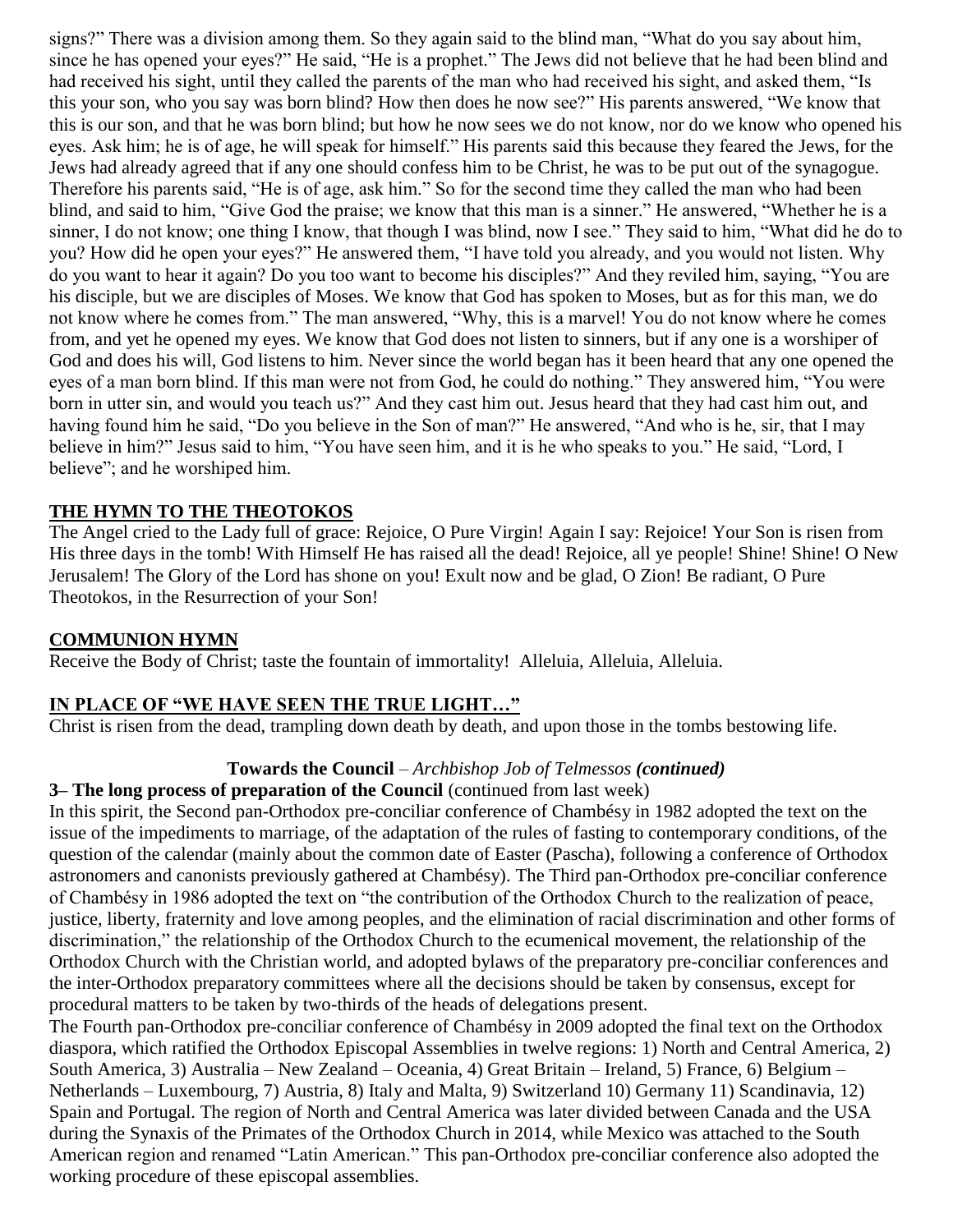signs?" There was a division among them. So they again said to the blind man, "What do you say about him, since he has opened your eyes?" He said, "He is a prophet." The Jews did not believe that he had been blind and had received his sight, until they called the parents of the man who had received his sight, and asked them, "Is this your son, who you say was born blind? How then does he now see?" His parents answered, "We know that this is our son, and that he was born blind; but how he now sees we do not know, nor do we know who opened his eyes. Ask him; he is of age, he will speak for himself." His parents said this because they feared the Jews, for the Jews had already agreed that if any one should confess him to be Christ, he was to be put out of the synagogue. Therefore his parents said, "He is of age, ask him." So for the second time they called the man who had been blind, and said to him, "Give God the praise; we know that this man is a sinner." He answered, "Whether he is a sinner, I do not know; one thing I know, that though I was blind, now I see." They said to him, "What did he do to you? How did he open your eyes?" He answered them, "I have told you already, and you would not listen. Why do you want to hear it again? Do you too want to become his disciples?" And they reviled him, saying, "You are his disciple, but we are disciples of Moses. We know that God has spoken to Moses, but as for this man, we do not know where he comes from." The man answered, "Why, this is a marvel! You do not know where he comes from, and yet he opened my eyes. We know that God does not listen to sinners, but if any one is a worshiper of God and does his will, God listens to him. Never since the world began has it been heard that any one opened the eyes of a man born blind. If this man were not from God, he could do nothing." They answered him, "You were born in utter sin, and would you teach us?" And they cast him out. Jesus heard that they had cast him out, and having found him he said, "Do you believe in the Son of man?" He answered, "And who is he, sir, that I may believe in him?" Jesus said to him, "You have seen him, and it is he who speaks to you." He said, "Lord, I believe"; and he worshiped him.

#### **THE HYMN TO THE THEOTOKOS**

The Angel cried to the Lady full of grace: Rejoice, O Pure Virgin! Again I say: Rejoice! Your Son is risen from His three days in the tomb! With Himself He has raised all the dead! Rejoice, all ye people! Shine! Shine! O New Jerusalem! The Glory of the Lord has shone on you! Exult now and be glad, O Zion! Be radiant, O Pure Theotokos, in the Resurrection of your Son!

#### **COMMUNION HYMN**

Receive the Body of Christ; taste the fountain of immortality! Alleluia, Alleluia, Alleluia.

## **IN PLACE OF "WE HAVE SEEN THE TRUE LIGHT…"**

Christ is risen from the dead, trampling down death by death, and upon those in the tombs bestowing life.

## **Towards the Council** – *Archbishop Job of Telmessos (continued)*

#### **3– The long process of preparation of the Council** (continued from last week)

In this spirit, the Second pan-Orthodox pre-conciliar conference of Chambésy in 1982 adopted the text on the issue of the impediments to marriage, of the adaptation of the rules of fasting to contemporary conditions, of the question of the calendar (mainly about the common date of Easter (Pascha), following a conference of Orthodox astronomers and canonists previously gathered at Chambésy). The Third pan-Orthodox pre-conciliar conference of Chambésy in 1986 adopted the text on "the contribution of the Orthodox Church to the realization of peace, justice, liberty, fraternity and love among peoples, and the elimination of racial discrimination and other forms of discrimination," the relationship of the Orthodox Church to the ecumenical movement, the relationship of the Orthodox Church with the Christian world, and adopted bylaws of the preparatory pre-conciliar conferences and the inter-Orthodox preparatory committees where all the decisions should be taken by consensus, except for procedural matters to be taken by two-thirds of the heads of delegations present.

The Fourth pan-Orthodox pre-conciliar conference of Chambésy in 2009 adopted the final text on the Orthodox diaspora, which ratified the Orthodox Episcopal Assemblies in twelve regions: 1) North and Central America, 2) South America, 3) Australia – New Zealand – Oceania, 4) Great Britain – Ireland, 5) France, 6) Belgium – Netherlands – Luxembourg, 7) Austria, 8) Italy and Malta, 9) Switzerland 10) Germany 11) Scandinavia, 12) Spain and Portugal. The region of North and Central America was later divided between Canada and the USA during the Synaxis of the Primates of the Orthodox Church in 2014, while Mexico was attached to the South American region and renamed "Latin American." This pan-Orthodox pre-conciliar conference also adopted the working procedure of these episcopal assemblies.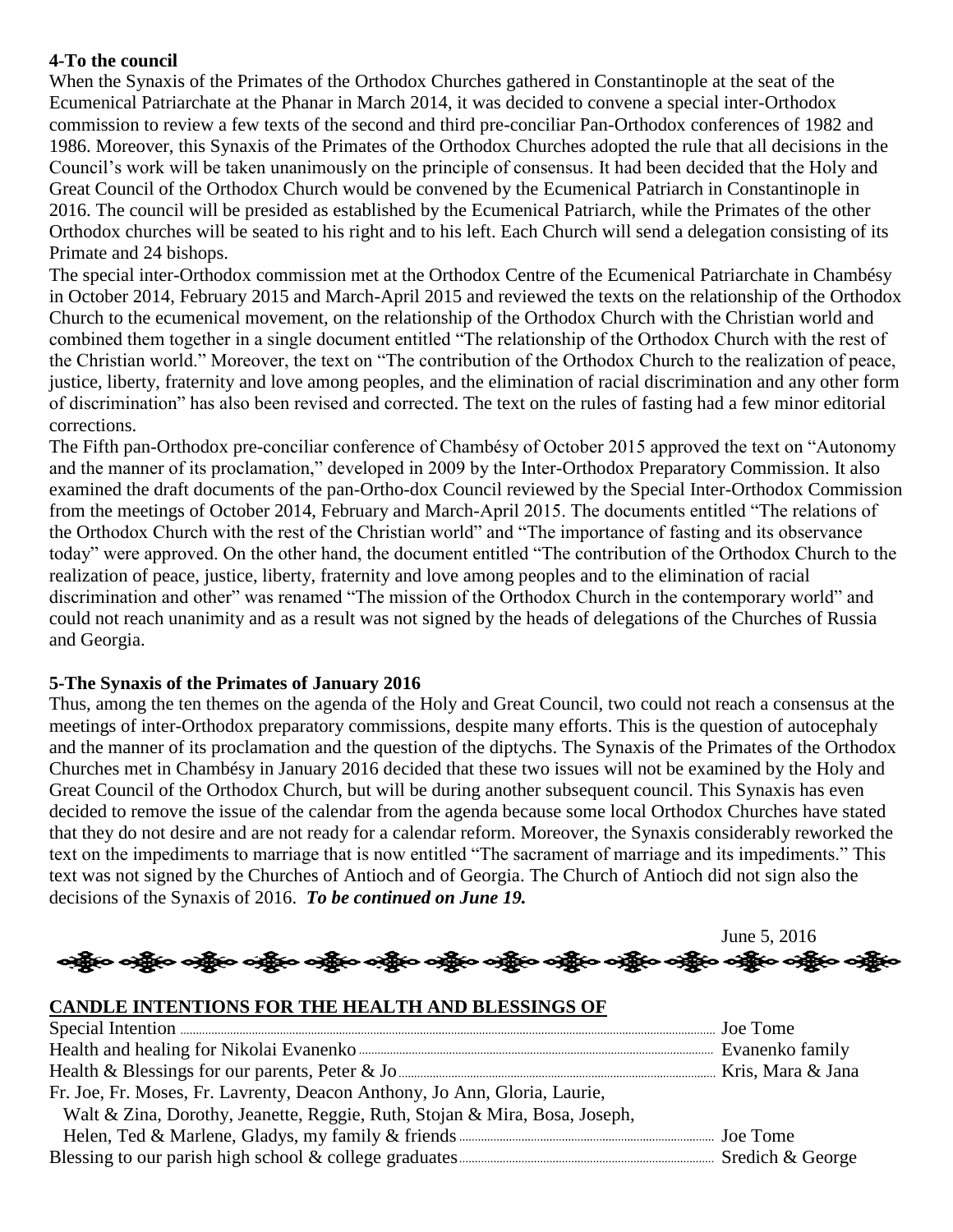## **4-To the council**

When the Synaxis of the Primates of the Orthodox Churches gathered in Constantinople at the seat of the Ecumenical Patriarchate at the Phanar in March 2014, it was decided to convene a special inter-Orthodox commission to review a few texts of the second and third pre-conciliar Pan-Orthodox conferences of 1982 and 1986. Moreover, this Synaxis of the Primates of the Orthodox Churches adopted the rule that all decisions in the Council's work will be taken unanimously on the principle of consensus. It had been decided that the Holy and Great Council of the Orthodox Church would be convened by the Ecumenical Patriarch in Constantinople in 2016. The council will be presided as established by the Ecumenical Patriarch, while the Primates of the other Orthodox churches will be seated to his right and to his left. Each Church will send a delegation consisting of its Primate and 24 bishops.

The special inter-Orthodox commission met at the Orthodox Centre of the Ecumenical Patriarchate in Chambésy in October 2014, February 2015 and March-April 2015 and reviewed the texts on the relationship of the Orthodox Church to the ecumenical movement, on the relationship of the Orthodox Church with the Christian world and combined them together in a single document entitled "The relationship of the Orthodox Church with the rest of the Christian world." Moreover, the text on "The contribution of the Orthodox Church to the realization of peace, justice, liberty, fraternity and love among peoples, and the elimination of racial discrimination and any other form of discrimination" has also been revised and corrected. The text on the rules of fasting had a few minor editorial corrections.

The Fifth pan-Orthodox pre-conciliar conference of Chambésy of October 2015 approved the text on "Autonomy and the manner of its proclamation," developed in 2009 by the Inter-Orthodox Preparatory Commission. It also examined the draft documents of the pan-Ortho-dox Council reviewed by the Special Inter-Orthodox Commission from the meetings of October 2014, February and March-April 2015. The documents entitled "The relations of the Orthodox Church with the rest of the Christian world" and "The importance of fasting and its observance today" were approved. On the other hand, the document entitled "The contribution of the Orthodox Church to the realization of peace, justice, liberty, fraternity and love among peoples and to the elimination of racial discrimination and other" was renamed "The mission of the Orthodox Church in the contemporary world" and could not reach unanimity and as a result was not signed by the heads of delegations of the Churches of Russia and Georgia.

## **5-The Synaxis of the Primates of January 2016**

Thus, among the ten themes on the agenda of the Holy and Great Council, two could not reach a consensus at the meetings of inter-Orthodox preparatory commissions, despite many efforts. This is the question of autocephaly and the manner of its proclamation and the question of the diptychs. The Synaxis of the Primates of the Orthodox Churches met in Chambésy in January 2016 decided that these two issues will not be examined by the Holy and Great Council of the Orthodox Church, but will be during another subsequent council. This Synaxis has even decided to remove the issue of the calendar from the agenda because some local Orthodox Churches have stated that they do not desire and are not ready for a calendar reform. Moreover, the Synaxis considerably reworked the text on the impediments to marriage that is now entitled "The sacrament of marriage and its impediments." This text was not signed by the Churches of Antioch and of Georgia. The Church of Antioch did not sign also the decisions of the Synaxis of 2016. *To be continued on June 19.*



## **CANDLE INTENTIONS FOR THE HEALTH AND BLESSINGS OF**

| Fr. Joe, Fr. Moses, Fr. Lavrenty, Deacon Anthony, Jo Ann, Gloria, Laurie,  |  |
|----------------------------------------------------------------------------|--|
| Walt & Zina, Dorothy, Jeanette, Reggie, Ruth, Stojan & Mira, Bosa, Joseph, |  |
|                                                                            |  |
|                                                                            |  |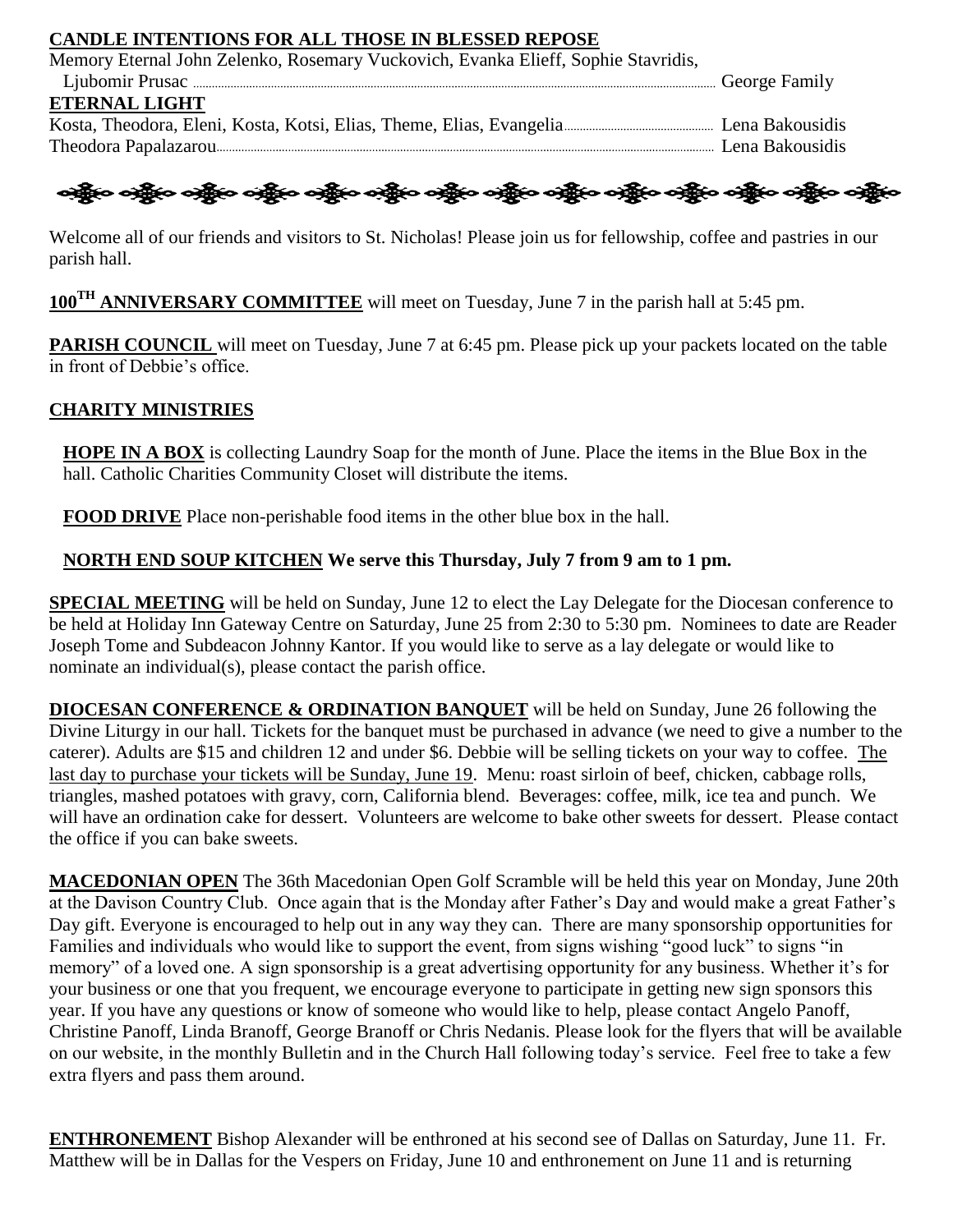#### **CANDLE INTENTIONS FOR ALL THOSE IN BLESSED REPOSE**

Memory Eternal John Zelenko, Rosemary Vuckovich, Evanka Elieff, Sophie Stavridis, Ljubomir Prusac George Family

# **ETERNAL LIGHT**

Kosta, Theodora, Eleni, Kosta, Kotsi, Elias, Theme, Elias, Evangelia <u>mare maide musical</u> Lena Bakousidis Theodora Papalazarou Lena Bakousidis



Welcome all of our friends and visitors to St. Nicholas! Please join us for fellowship, coffee and pastries in our parish hall.

**100TH ANNIVERSARY COMMITTEE** will meet on Tuesday, June 7 in the parish hall at 5:45 pm.

**PARISH COUNCIL** will meet on Tuesday, June 7 at 6:45 pm. Please pick up your packets located on the table in front of Debbie's office.

## **CHARITY MINISTRIES**

**HOPE IN A BOX** is collecting Laundry Soap for the month of June. Place the items in the Blue Box in the hall. Catholic Charities Community Closet will distribute the items.

**FOOD DRIVE** Place non-perishable food items in the other blue box in the hall.

#### **NORTH END SOUP KITCHEN We serve this Thursday, July 7 from 9 am to 1 pm.**

**SPECIAL MEETING** will be held on Sunday, June 12 to elect the Lay Delegate for the Diocesan conference to be held at Holiday Inn Gateway Centre on Saturday, June 25 from 2:30 to 5:30 pm. Nominees to date are Reader Joseph Tome and Subdeacon Johnny Kantor. If you would like to serve as a lay delegate or would like to nominate an individual(s), please contact the parish office.

**DIOCESAN CONFERENCE & ORDINATION BANQUET** will be held on Sunday, June 26 following the Divine Liturgy in our hall. Tickets for the banquet must be purchased in advance (we need to give a number to the caterer). Adults are \$15 and children 12 and under \$6. Debbie will be selling tickets on your way to coffee. The last day to purchase your tickets will be Sunday, June 19. Menu: roast sirloin of beef, chicken, cabbage rolls, triangles, mashed potatoes with gravy, corn, California blend. Beverages: coffee, milk, ice tea and punch. We will have an ordination cake for dessert. Volunteers are welcome to bake other sweets for dessert. Please contact the office if you can bake sweets.

**MACEDONIAN OPEN** The 36th Macedonian Open Golf Scramble will be held this year on Monday, June 20th at the Davison Country Club. Once again that is the Monday after Father's Day and would make a great Father's Day gift. Everyone is encouraged to help out in any way they can. There are many sponsorship opportunities for Families and individuals who would like to support the event, from signs wishing "good luck" to signs "in memory" of a loved one. A sign sponsorship is a great advertising opportunity for any business. Whether it's for your business or one that you frequent, we encourage everyone to participate in getting new sign sponsors this year. If you have any questions or know of someone who would like to help, please contact Angelo Panoff, Christine Panoff, Linda Branoff, George Branoff or Chris Nedanis. Please look for the flyers that will be available on our website, in the monthly Bulletin and in the Church Hall following today's service. Feel free to take a few extra flyers and pass them around.

**ENTHRONEMENT** Bishop Alexander will be enthroned at his second see of Dallas on Saturday, June 11. Fr. Matthew will be in Dallas for the Vespers on Friday, June 10 and enthronement on June 11 and is returning